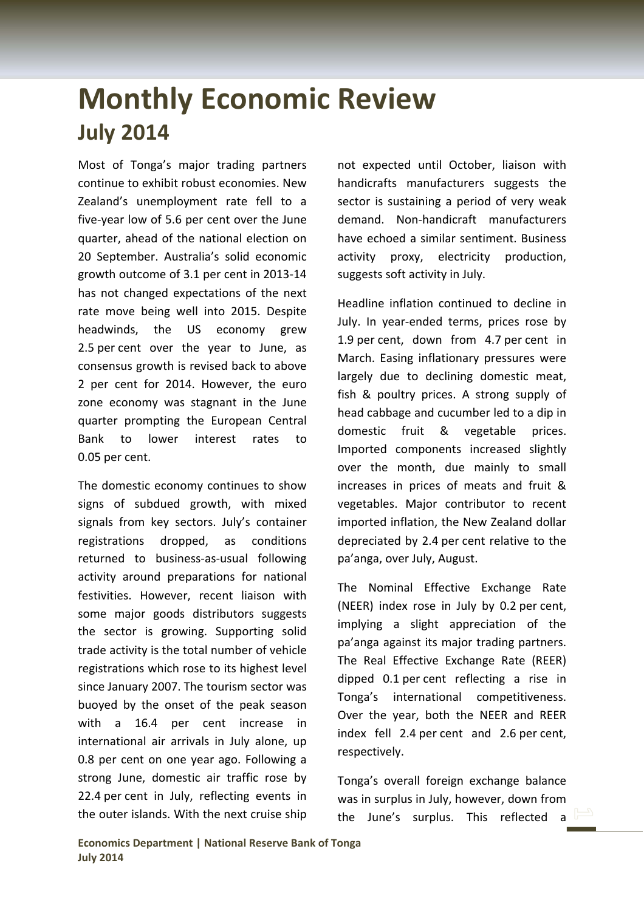## **Monthly Economic Review July 2014**

Most of Tonga's major trading partners continue to exhibit robust economies. New Zealand's unemployment rate fell to a five‐year low of 5.6 per cent over the June quarter, ahead of the national election on 20 September. Australia's solid economic growth outcome of 3.1 per cent in 2013‐14 has not changed expectations of the next rate move being well into 2015. Despite headwinds, the US economy grew 2.5 per cent over the year to June, as consensus growth is revised back to above 2 per cent for 2014. However, the euro zone economy was stagnant in the June quarter prompting the European Central Bank to lower interest rates to 0.05 per cent.

The domestic economy continues to show signs of subdued growth, with mixed signals from key sectors. July's container registrations dropped, as conditions returned to business‐as‐usual following activity around preparations for national festivities. However, recent liaison with some major goods distributors suggests the sector is growing. Supporting solid trade activity is the total number of vehicle registrations which rose to its highest level since January 2007. The tourism sector was buoyed by the onset of the peak season with a 16.4 per cent increase in international air arrivals in July alone, up 0.8 per cent on one year ago. Following a strong June, domestic air traffic rose by 22.4 per cent in July, reflecting events in the outer islands. With the next cruise ship

not expected until October, liaison with handicrafts manufacturers suggests the sector is sustaining a period of very weak demand. Non‐handicraft manufacturers have echoed a similar sentiment. Business activity proxy, electricity production, suggests soft activity in July.

Headline inflation continued to decline in July. In year‐ended terms, prices rose by 1.9 per cent, down from 4.7 per cent in March. Easing inflationary pressures were largely due to declining domestic meat, fish & poultry prices. A strong supply of head cabbage and cucumber led to a dip in domestic fruit & vegetable prices. Imported components increased slightly over the month, due mainly to small increases in prices of meats and fruit & vegetables. Major contributor to recent imported inflation, the New Zealand dollar depreciated by 2.4 per cent relative to the pa'anga, over July, August.

The Nominal Effective Exchange Rate (NEER) index rose in July by 0.2 per cent, implying a slight appreciation of the pa'anga against its major trading partners. The Real Effective Exchange Rate (REER) dipped 0.1 per cent reflecting a rise in Tonga's international competitiveness. Over the year, both the NEER and REER index fell 2.4 per cent and 2.6 per cent, respectively.

Tonga's overall foreign exchange balance was in surplus in July, however, down from the June's surplus. This reflected a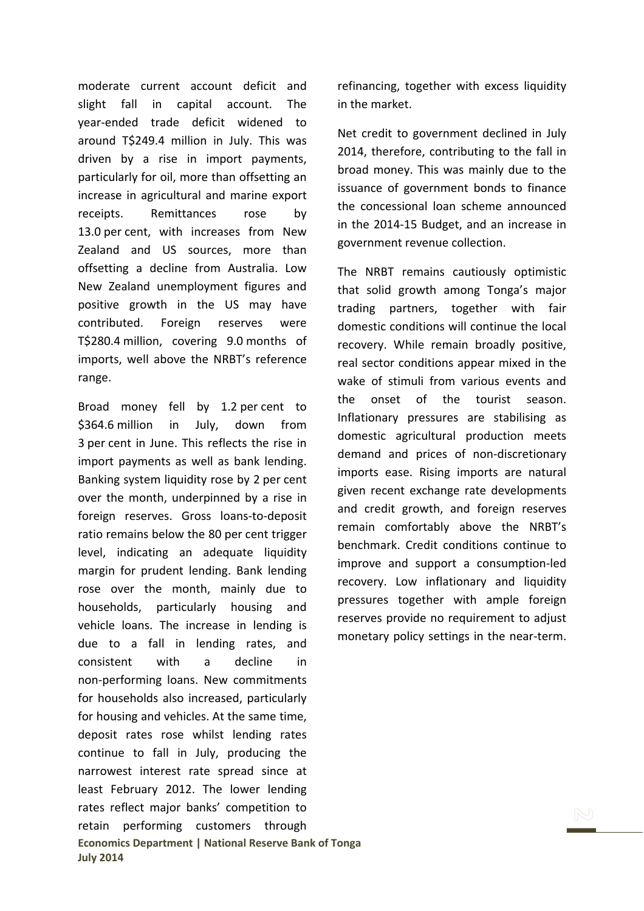moderate current account deficit and slight fall in capital account. The year‐ended trade deficit widened to around T\$249.4 million in July. This was driven by a rise in import payments, particularly for oil, more than offsetting an increase in agricultural and marine export receipts. Remittances rose by 13.0 per cent, with increases from New Zealand and US sources, more than offsetting a decline from Australia. Low New Zealand unemployment figures and positive growth in the US may have contributed. Foreign reserves were T\$280.4 million, covering 9.0 months of imports, well above the NRBT's reference range.

**Economics Department | National Reserve Bank of Tonga July 2014** Broad money fell by 1.2 per cent to \$364.6 million in July, down from 3 per cent in June. This reflects the rise in import payments as well as bank lending. Banking system liquidity rose by 2 per cent over the month, underpinned by a rise in foreign reserves. Gross loans‐to‐deposit ratio remains below the 80 per cent trigger level, indicating an adequate liquidity margin for prudent lending. Bank lending rose over the month, mainly due to households, particularly housing and vehicle loans. The increase in lending is due to a fall in lending rates, and consistent with a decline in non‐performing loans. New commitments for households also increased, particularly for housing and vehicles. At the same time, deposit rates rose whilst lending rates continue to fall in July, producing the narrowest interest rate spread since at least February 2012. The lower lending rates reflect major banks' competition to retain performing customers through

refinancing, together with excess liquidity in the market.

Net credit to government declined in July 2014, therefore, contributing to the fall in broad money. This was mainly due to the issuance of government bonds to finance the concessional loan scheme announced in the 2014‐15 Budget, and an increase in government revenue collection.

The NRBT remains cautiously optimistic that solid growth among Tonga's major trading partners, together with fair domestic conditions will continue the local recovery. While remain broadly positive, real sector conditions appear mixed in the wake of stimuli from various events and the onset of the tourist season. Inflationary pressures are stabilising as domestic agricultural production meets demand and prices of non‐discretionary imports ease. Rising imports are natural given recent exchange rate developments and credit growth, and foreign reserves remain comfortably above the NRBT's benchmark. Credit conditions continue to improve and support a consumption‐led recovery. Low inflationary and liquidity pressures together with ample foreign reserves provide no requirement to adjust monetary policy settings in the near-term.